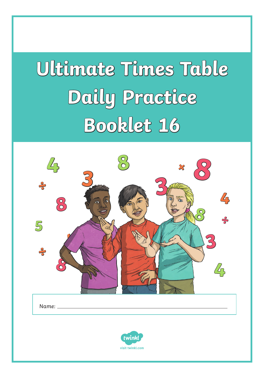# **Ultimate Times Table Daily Practice Booklet 16**

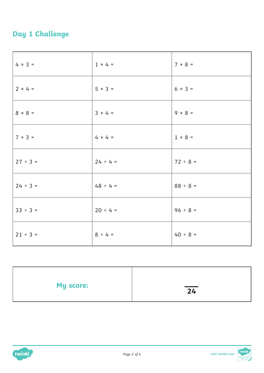### **Day 1 Challenge**

| $4 \times 3 =$ | $1 \times 4 =$ | $7 \times 8 =$ |
|----------------|----------------|----------------|
| $2 × 4 =$      | $5 \times 3 =$ | $6 × 3 =$      |
| $8 \times 8 =$ | $3 × 4 =$      | $9 \times 8 =$ |
| $7 \times 3 =$ | $4 \times 4 =$ | $1 \times 8 =$ |
| $27 ÷ 3 =$     | $24 \div 4 =$  | $72 \div 8 =$  |
| $24 \div 3 =$  | $48 \div 4 =$  | $88 ÷ 8 =$     |
| $33 ÷ 3 =$     | $20 \div 4 =$  | $96 \div 8 =$  |
| $21 \div 3 =$  | $8 \div 4 =$   | $40 \div 8 =$  |

| <b>My score:</b> | $\overline{24}$ |
|------------------|-----------------|
|                  |                 |



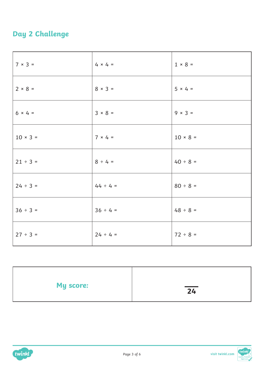### **Day 2 Challenge**

| $7 \times 3 =$  | $4 \times 4 =$ | $1 \times 8 =$ |
|-----------------|----------------|----------------|
| $2 \times 8 =$  | $8 \times 3 =$ | $5 \times 4 =$ |
| $6 × 4 =$       | $3 × 8 =$      | $9 \times 3 =$ |
| $10 \times 3 =$ | $7 \times 4 =$ | $10 × 8 =$     |
| $21 \div 3 =$   | $8 \div 4 =$   | $40 \div 8 =$  |
| $24 \div 3 =$   | $44 \div 4 =$  | $80 \div 8 =$  |
| $36 ÷ 3 =$      | $36 \div 4 =$  | $48 \div 8 =$  |
| $27 ÷ 3 =$      | $24 \div 4 =$  | $72 \div 8 =$  |

| <b>My score:</b> | $\overline{\phantom{a}}$<br>24 |
|------------------|--------------------------------|
|                  |                                |

![](_page_2_Picture_3.jpeg)

![](_page_2_Picture_4.jpeg)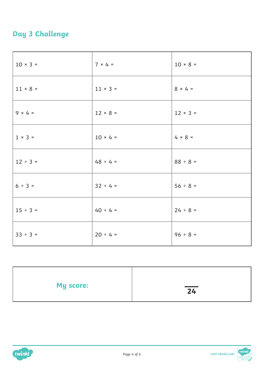### **Day 3 Challenge**

| $10 \times 3 =$ | $7 × 4 =$       | $10 × 8 =$      |
|-----------------|-----------------|-----------------|
| $11 × 8 =$      | $11 \times 3 =$ | $8 \times 4 =$  |
| $9 \times 4 =$  | $12 \times 8 =$ | $12 \times 3 =$ |
| $1 \times 3 =$  | $10 × 4 =$      | $4 \times 8 =$  |
| $12 \div 3 =$   | $48 \div 4 =$   | $88 \div 8 =$   |
| $6 ÷ 3 =$       | $32 \div 4 =$   | $56 ÷ 8 =$      |
| $15 \div 3 =$   | $40 \div 4 =$   | $24 \div 8 =$   |
| $33 ÷ 3 =$      | $20 \div 4 =$   | $96 ÷ 8 =$      |

| <b>My score:</b> | $\overline{\phantom{a}}$<br>24 |
|------------------|--------------------------------|
|                  |                                |

![](_page_3_Picture_3.jpeg)

![](_page_3_Picture_4.jpeg)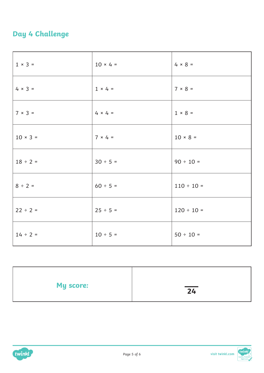#### **Day 4 Challenge**

| $1 \times 3 =$ | $10 × 4 =$     | $4 \times 8 =$  |
|----------------|----------------|-----------------|
| $4 × 3 =$      | $1 \times 4 =$ | $7 × 8 =$       |
| $7 × 3 =$      | $4 \times 4 =$ | $1 \times 8 =$  |
| $10 × 3 =$     | $7 × 4 =$      | $10 × 8 =$      |
| $18 \div 2 =$  | $30 \div 5 =$  | $90 \div 10 =$  |
| $8 \div 2 =$   | $60 \div 5 =$  | $110 \div 10 =$ |
| $22 \div 2 =$  | $25 \div 5 =$  | $120 \div 10 =$ |
| $14 \div 2 =$  | $10 \div 5 =$  | $50 \div 10 =$  |

| <b>My score:</b> | $\overline{24}$ |
|------------------|-----------------|
|                  |                 |

![](_page_4_Picture_3.jpeg)

![](_page_4_Picture_4.jpeg)